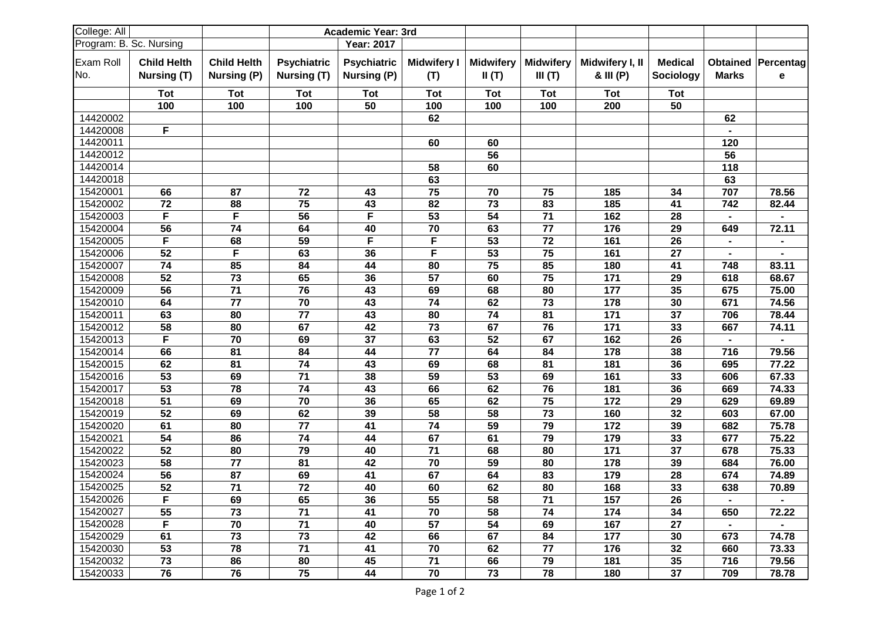| College: All     |                                   |                                   |                                   | <b>Academic Year: 3rd</b>         |                           |                           |                            |                              |                             |                |                         |
|------------------|-----------------------------------|-----------------------------------|-----------------------------------|-----------------------------------|---------------------------|---------------------------|----------------------------|------------------------------|-----------------------------|----------------|-------------------------|
|                  | Program: B. Sc. Nursing           |                                   |                                   | <b>Year: 2017</b>                 |                           |                           |                            |                              |                             |                |                         |
| Exam Roll<br>No. | <b>Child Helth</b><br>Nursing (T) | <b>Child Helth</b><br>Nursing (P) | <b>Psychiatric</b><br>Nursing (T) | <b>Psychiatric</b><br>Nursing (P) | <b>Midwifery I</b><br>(T) | <b>Midwifery</b><br>II(T) | <b>Midwifery</b><br>III(T) | Midwifery I, II<br>& III (P) | <b>Medical</b><br>Sociology | <b>Marks</b>   | Obtained Percentag<br>е |
|                  |                                   |                                   |                                   |                                   |                           |                           |                            |                              |                             |                |                         |
|                  | <b>Tot</b>                        | <b>Tot</b>                        | Tot                               | Tot                               | <b>Tot</b>                | <b>Tot</b>                | Tot                        | <b>Tot</b>                   | <b>Tot</b>                  |                |                         |
|                  | 100                               | 100                               | 100                               | 50                                | 100                       | 100                       | 100                        | 200                          | 50                          |                |                         |
| 14420002         |                                   |                                   |                                   |                                   | 62                        |                           |                            |                              |                             | 62             |                         |
| 14420008         | F                                 |                                   |                                   |                                   |                           |                           |                            |                              |                             |                |                         |
| 14420011         |                                   |                                   |                                   |                                   | 60                        | 60                        |                            |                              |                             | 120            |                         |
| 14420012         |                                   |                                   |                                   |                                   |                           | $\overline{56}$           |                            |                              |                             | 56             |                         |
| 14420014         |                                   |                                   |                                   |                                   | 58                        | 60                        |                            |                              |                             | 118            |                         |
| 14420018         |                                   |                                   |                                   |                                   | 63                        |                           |                            |                              |                             | 63             |                         |
| 15420001         | 66                                | 87                                | 72                                | 43                                | 75                        | 70                        | 75                         | 185                          | 34                          | 707            | 78.56                   |
| 15420002         | 72                                | 88                                | 75                                | 43                                | 82                        | 73                        | 83                         | 185                          | 41                          | 742            | 82.44                   |
| 15420003         | F                                 | F                                 | 56                                | F                                 | 53                        | 54                        | $71$                       | 162                          | 28                          |                |                         |
| 15420004         | 56                                | 74                                | 64                                | 40                                | 70                        | 63                        | 77                         | 176                          | 29                          | 649            | 72.11                   |
| 15420005         | F                                 | 68                                | 59                                | F                                 | F                         | 53                        | 72                         | 161                          | 26                          |                |                         |
| 15420006         | 52                                | F                                 | 63                                | 36                                | F                         | 53                        | 75                         | 161                          | 27                          |                |                         |
| 15420007         | 74                                | 85                                | 84                                | 44                                | 80                        | 75                        | 85                         | 180                          | 41                          | 748            | 83.11                   |
| 15420008         | 52                                | 73                                | 65                                | 36                                | 57                        | 60                        | 75                         | 171                          | 29                          | 618            | 68.67                   |
| 15420009         | 56                                | 71                                | 76                                | 43                                | 69                        | 68                        | 80                         | 177                          | 35                          | 675            | 75.00                   |
| 15420010         | 64                                | 77                                | 70                                | 43                                | 74                        | 62                        | 73                         | 178                          | 30                          | 671            | 74.56                   |
| 15420011         | 63                                | 80                                | 77                                | 43                                | 80                        | 74                        | 81                         | 171                          | 37                          | 706            | 78.44                   |
| 15420012         | 58                                | 80                                | 67                                | 42                                | 73                        | 67                        | 76                         | 171                          | 33                          | 667            | 74.11                   |
| 15420013         | F                                 | 70                                | 69                                | 37                                | 63                        | 52                        | 67                         | 162                          | 26                          | $\blacksquare$ |                         |
| 15420014         | 66                                | 81                                | 84                                | 44                                | 77                        | 64                        | 84                         | 178                          | 38                          | 716            | 79.56                   |
| 15420015         | 62                                | 81                                | 74                                | 43                                | 69                        | 68                        | 81                         | 181                          | 36                          | 695            | 77.22                   |
| 15420016         | 53                                | 69                                | $\overline{71}$                   | 38                                | 59                        | 53                        | 69                         | 161                          | 33                          | 606            | 67.33                   |
| 15420017         | 53                                | 78                                | 74                                | 43                                | 66                        | 62                        | 76                         | 181                          | 36                          | 669            | 74.33                   |
| 15420018         | 51                                | 69                                | 70                                | 36                                | 65                        | 62                        | 75                         | 172                          | 29                          | 629            | 69.89                   |
| 15420019         | 52                                | 69                                | 62                                | 39                                | 58                        | 58                        | 73                         | 160                          | 32                          | 603            | 67.00                   |
| 15420020         | 61                                | 80                                | 77                                | 41                                | 74                        | 59                        | 79                         | 172                          | 39                          | 682            | 75.78                   |
| 15420021         | 54                                | 86                                | 74                                | 44                                | 67                        | 61                        | 79                         | 179                          | 33                          | 677            | 75.22                   |
| 15420022         | 52                                | 80                                | 79                                | 40                                | 71                        | 68                        | 80                         | 171                          | 37                          | 678            | 75.33                   |
| 15420023         | 58                                | 77                                | 81                                | 42                                | 70                        | 59                        | 80                         | 178                          | 39                          | 684            | 76.00                   |
| 15420024         | $\overline{56}$                   | 87                                | 69                                | 41                                | 67                        | 64                        | 83                         | 179                          | 28                          | 674            | 74.89                   |
| 15420025         | 52                                | 71                                | 72                                | 40                                | 60                        | 62                        | 80                         | 168                          | 33                          | 638            | 70.89                   |
| 15420026         | F                                 | 69                                | 65                                | 36                                | 55                        | 58                        | 71                         | 157                          | 26                          | $\blacksquare$ | $\blacksquare$          |
| 15420027         | 55                                | 73                                | 71                                | 41                                | 70                        | 58                        | 74                         | 174                          | 34                          | 650            | 72.22                   |
| 15420028         | F                                 | 70                                | $71$                              | 40                                | 57                        | 54                        | 69                         | 167                          | 27                          |                |                         |
| 15420029         | 61                                | 73                                | 73                                | 42                                | 66                        | 67                        | 84                         | 177                          | 30                          | 673            | 74.78                   |
| 15420030         | 53                                | 78                                | 71                                | 41                                | 70                        | 62                        | 77                         | 176                          | 32                          | 660            | 73.33                   |
| 15420032         | 73                                | 86                                | 80                                | 45                                | 71                        | 66                        | 79                         | 181                          | 35                          | 716            | 79.56                   |
| 15420033         | 76                                | 76                                | 75                                | 44                                | 70                        | 73                        | 78                         | 180                          | 37                          | 709            | 78.78                   |